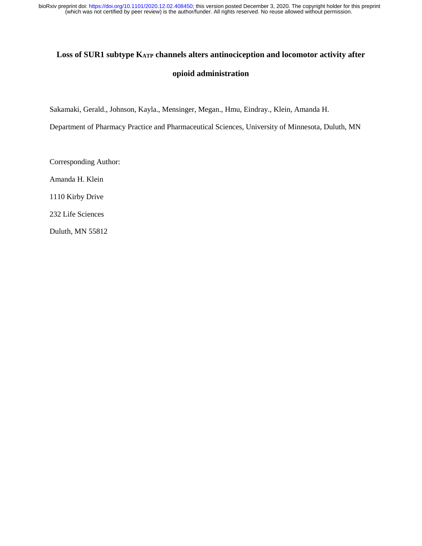(which was not certified by peer review) is the author/funder. All rights reserved. No reuse allowed without permission. bioRxiv preprint doi: [https://doi.org/10.1101/2020.12.02.408450;](https://doi.org/10.1101/2020.12.02.408450) this version posted December 3, 2020. The copyright holder for this preprint

# **Loss of SUR1 subtype KATP channels alters antinociception and locomotor activity after opioid administration**

Sakamaki, Gerald., Johnson, Kayla., Mensinger, Megan., Hmu, Eindray., Klein, Amanda H.

Department of Pharmacy Practice and Pharmaceutical Sciences, University of Minnesota, Duluth, MN

Corresponding Author:

Amanda H. Klein

1110 Kirby Drive

232 Life Sciences

Duluth, MN 55812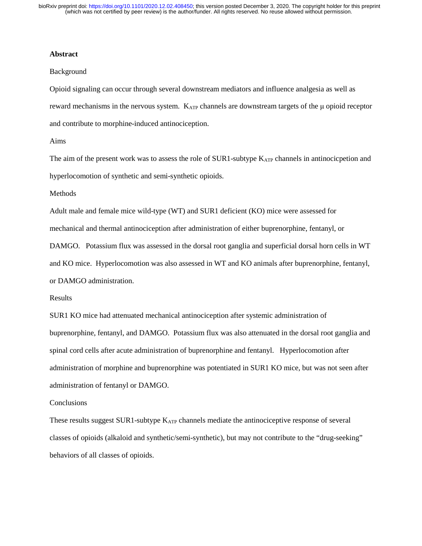#### **Abstract**

#### Background

Opioid signaling can occur through several downstream mediators and influence analgesia as well as reward mechanisms in the nervous system. KATP channels are downstream targets of the μ opioid receptor and contribute to morphine-induced antinociception.

#### Aims

The aim of the present work was to assess the role of SUR1-subtype K<sub>ATP</sub> channels in antinocicpetion and hyperlocomotion of synthetic and semi-synthetic opioids.

## Methods

Adult male and female mice wild-type (WT) and SUR1 deficient (KO) mice were assessed for

mechanical and thermal antinociception after administration of either buprenorphine, fentanyl, or

DAMGO. Potassium flux was assessed in the dorsal root ganglia and superficial dorsal horn cells in WT and KO mice. Hyperlocomotion was also assessed in WT and KO animals after buprenorphine, fentanyl, or DAMGO administration.

#### Results

SUR1 KO mice had attenuated mechanical antinociception after systemic administration of buprenorphine, fentanyl, and DAMGO. Potassium flux was also attenuated in the dorsal root ganglia and spinal cord cells after acute administration of buprenorphine and fentanyl. Hyperlocomotion after administration of morphine and buprenorphine was potentiated in SUR1 KO mice, but was not seen after administration of fentanyl or DAMGO.

### **Conclusions**

These results suggest  $SUR1$ -subtype  $K_{ATP}$  channels mediate the antinociceptive response of several classes of opioids (alkaloid and synthetic/semi-synthetic), but may not contribute to the "drug-seeking" behaviors of all classes of opioids.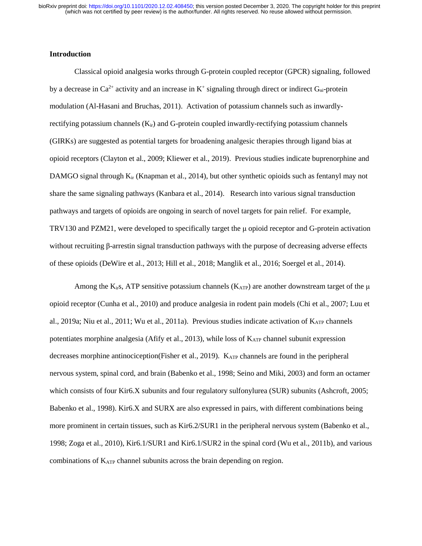# **Introduction**

Classical opioid analgesia works through G-protein coupled receptor (GPCR) signaling, followed by a decrease in  $Ca^{2+}$  activity and an increase in  $K^+$  signaling through direct or indirect  $G_{\alpha i}$ -protein modulation (Al-Hasani and Bruchas, 2011). Activation of potassium channels such as inwardlyrectifying potassium channels  $(K_{ir})$  and G-protein coupled inwardly-rectifying potassium channels (GIRKs) are suggested as potential targets for broadening analgesic therapies through ligand bias at opioid receptors (Clayton et al., 2009; Kliewer et al., 2019). Previous studies indicate buprenorphine and DAMGO signal through  $K_{ir}$  (Knapman et al., 2014), but other synthetic opioids such as fentanyl may not share the same signaling pathways (Kanbara et al., 2014). Research into various signal transduction pathways and targets of opioids are ongoing in search of novel targets for pain relief. For example, TRV130 and PZM21, were developed to specifically target the μ opioid receptor and G-protein activation without recruiting β-arrestin signal transduction pathways with the purpose of decreasing adverse effects of these opioids (DeWire et al., 2013; Hill et al., 2018; Manglik et al., 2016; Soergel et al., 2014).

Among the K<sub>ir</sub>s, ATP sensitive potassium channels (K<sub>ATP</sub>) are another downstream target of the  $\mu$ opioid receptor (Cunha et al., 2010) and produce analgesia in rodent pain models (Chi et al., 2007; Luu et al., 2019a; Niu et al., 2011; Wu et al., 2011a). Previous studies indicate activation of KATP channels potentiates morphine analgesia (Afify et al., 2013), while loss of  $K_{ATP}$  channel subunit expression decreases morphine antinociception(Fisher et al., 2019). KATP channels are found in the peripheral nervous system, spinal cord, and brain (Babenko et al., 1998; Seino and Miki, 2003) and form an octamer which consists of four Kir6.X subunits and four regulatory sulfonylurea (SUR) subunits (Ashcroft, 2005; Babenko et al., 1998). Kir6.X and SURX are also expressed in pairs, with different combinations being more prominent in certain tissues, such as Kir6.2/SUR1 in the peripheral nervous system (Babenko et al., 1998; Zoga et al., 2010), Kir6.1/SUR1 and Kir6.1/SUR2 in the spinal cord (Wu et al., 2011b), and various combinations of  $K_{ATP}$  channel subunits across the brain depending on region.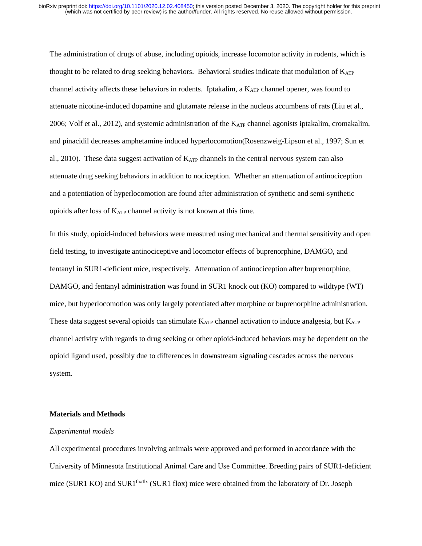The administration of drugs of abuse, including opioids, increase locomotor activity in rodents, which is thought to be related to drug seeking behaviors. Behavioral studies indicate that modulation of  $K_{ATP}$ channel activity affects these behaviors in rodents. Iptakalim, a  $K_{ATP}$  channel opener, was found to attenuate nicotine-induced dopamine and glutamate release in the nucleus accumbens of rats (Liu et al., 2006; Volf et al., 2012), and systemic administration of the  $K_{ATP}$  channel agonists iptakalim, cromakalim, and pinacidil decreases amphetamine induced hyperlocomotion(Rosenzweig-Lipson et al., 1997; Sun et al., 2010). These data suggest activation of  $K_{ATP}$  channels in the central nervous system can also attenuate drug seeking behaviors in addition to nociception. Whether an attenuation of antinociception and a potentiation of hyperlocomotion are found after administration of synthetic and semi-synthetic opioids after loss of  $K_{ATP}$  channel activity is not known at this time.

In this study, opioid-induced behaviors were measured using mechanical and thermal sensitivity and open field testing, to investigate antinociceptive and locomotor effects of buprenorphine, DAMGO, and fentanyl in SUR1-deficient mice, respectively. Attenuation of antinociception after buprenorphine, DAMGO, and fentanyl administration was found in SUR1 knock out (KO) compared to wildtype (WT) mice, but hyperlocomotion was only largely potentiated after morphine or buprenorphine administration. These data suggest several opioids can stimulate K<sub>ATP</sub> channel activation to induce analgesia, but K<sub>ATP</sub> channel activity with regards to drug seeking or other opioid-induced behaviors may be dependent on the opioid ligand used, possibly due to differences in downstream signaling cascades across the nervous system.

## **Materials and Methods**

#### *Experimental models*

All experimental procedures involving animals were approved and performed in accordance with the University of Minnesota Institutional Animal Care and Use Committee. Breeding pairs of SUR1-deficient mice (SUR1 KO) and SUR1 $\frac{fix}{fix}$  (SUR1 flox) mice were obtained from the laboratory of Dr. Joseph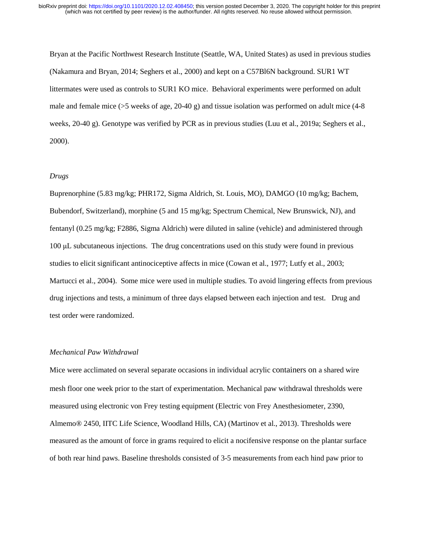Bryan at the Pacific Northwest Research Institute (Seattle, WA, United States) as used in previous studies (Nakamura and Bryan, 2014; Seghers et al., 2000) and kept on a C57Bl6N background. SUR1 WT littermates were used as controls to SUR1 KO mice. Behavioral experiments were performed on adult male and female mice (>5 weeks of age, 20-40 g) and tissue isolation was performed on adult mice (4-8 weeks, 20-40 g). Genotype was verified by PCR as in previous studies (Luu et al., 2019a; Seghers et al., 2000).

#### *Drugs*

Buprenorphine (5.83 mg/kg; PHR172, Sigma Aldrich, St. Louis, MO), DAMGO (10 mg/kg; Bachem, Bubendorf, Switzerland), morphine (5 and 15 mg/kg; Spectrum Chemical, New Brunswick, NJ), and fentanyl (0.25 mg/kg; F2886, Sigma Aldrich) were diluted in saline (vehicle) and administered through 100 μL subcutaneous injections. The drug concentrations used on this study were found in previous studies to elicit significant antinociceptive affects in mice (Cowan et al., 1977; Lutfy et al., 2003; Martucci et al., 2004). Some mice were used in multiple studies. To avoid lingering effects from previous drug injections and tests, a minimum of three days elapsed between each injection and test. Drug and test order were randomized.

# *Mechanical Paw Withdrawal*

Mice were acclimated on several separate occasions in individual acrylic containers on a shared wire mesh floor one week prior to the start of experimentation. Mechanical paw withdrawal thresholds were measured using electronic von Frey testing equipment (Electric von Frey Anesthesiometer, 2390, Almemo® 2450, IITC Life Science, Woodland Hills, CA) (Martinov et al., 2013). Thresholds were measured as the amount of force in grams required to elicit a nocifensive response on the plantar surface of both rear hind paws. Baseline thresholds consisted of 3-5 measurements from each hind paw prior to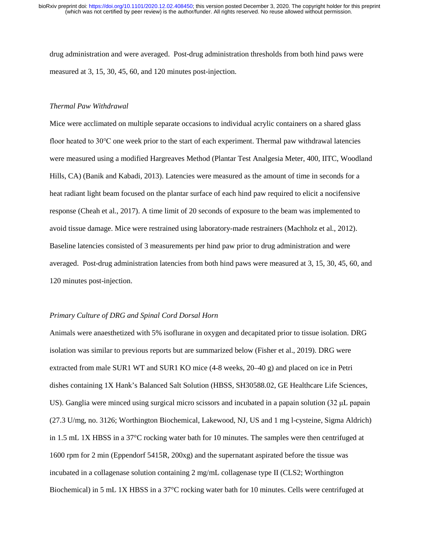drug administration and were averaged. Post-drug administration thresholds from both hind paws were measured at 3, 15, 30, 45, 60, and 120 minutes post-injection.

# *Thermal Paw Withdrawal*

Mice were acclimated on multiple separate occasions to individual acrylic containers on a shared glass floor heated to 30℃ one week prior to the start of each experiment. Thermal paw withdrawal latencies were measured using a modified Hargreaves Method (Plantar Test Analgesia Meter, 400, IITC, Woodland Hills, CA) (Banik and Kabadi, 2013). Latencies were measured as the amount of time in seconds for a heat radiant light beam focused on the plantar surface of each hind paw required to elicit a nocifensive response (Cheah et al., 2017). A time limit of 20 seconds of exposure to the beam was implemented to avoid tissue damage. Mice were restrained using laboratory-made restrainers (Machholz et al., 2012). Baseline latencies consisted of 3 measurements per hind paw prior to drug administration and were averaged. Post-drug administration latencies from both hind paws were measured at 3, 15, 30, 45, 60, and 120 minutes post-injection.

### *Primary Culture of DRG and Spinal Cord Dorsal Horn*

Animals were anaesthetized with 5% isoflurane in oxygen and decapitated prior to tissue isolation. DRG isolation was similar to previous reports but are summarized below (Fisher et al., 2019). DRG were extracted from male SUR1 WT and SUR1 KO mice (4-8 weeks, 20–40 g) and placed on ice in Petri dishes containing 1X Hank's Balanced Salt Solution (HBSS, SH30588.02, GE Healthcare Life Sciences, US). Ganglia were minced using surgical micro scissors and incubated in a papain solution (32 μL papain (27.3 U/mg, no. 3126; Worthington Biochemical, Lakewood, NJ, US and 1 mg l-cysteine, Sigma Aldrich) in 1.5 mL 1X HBSS in a 37°C rocking water bath for 10 minutes. The samples were then centrifuged at 1600 rpm for 2 min (Eppendorf 5415R, 200xg) and the supernatant aspirated before the tissue was incubated in a collagenase solution containing 2 mg/mL collagenase type II (CLS2; Worthington Biochemical) in 5 mL 1X HBSS in a 37°C rocking water bath for 10 minutes. Cells were centrifuged at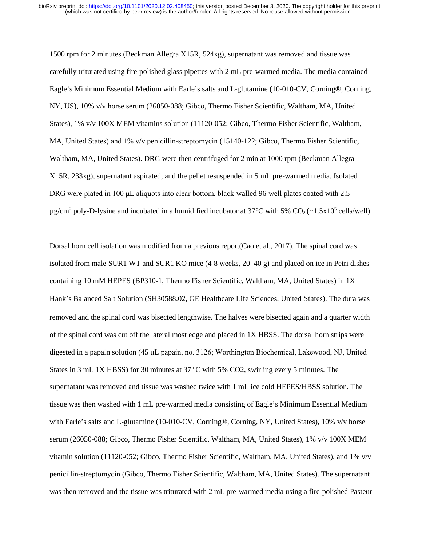1500 rpm for 2 minutes (Beckman Allegra X15R, 524xg), supernatant was removed and tissue was carefully triturated using fire-polished glass pipettes with 2 mL pre-warmed media. The media contained Eagle's Minimum Essential Medium with Earle's salts and L-glutamine (10-010-CV, Corning®, Corning, NY, US), 10% v/v horse serum (26050-088; Gibco, Thermo Fisher Scientific, Waltham, MA, United States), 1% v/v 100X MEM vitamins solution (11120-052; Gibco, Thermo Fisher Scientific, Waltham, MA, United States) and 1% v/v penicillin-streptomycin (15140-122; Gibco, Thermo Fisher Scientific, Waltham, MA, United States). DRG were then centrifuged for 2 min at 1000 rpm (Beckman Allegra X15R, 233xg), supernatant aspirated, and the pellet resuspended in 5 mL pre-warmed media. Isolated DRG were plated in 100 µL aliquots into clear bottom, black-walled 96-well plates coated with 2.5  $\mu$ g/cm<sup>2</sup> poly-D-lysine and incubated in a humidified incubator at 37°C with 5% CO<sub>2</sub> (~1.5x10<sup>5</sup> cells/well).

Dorsal horn cell isolation was modified from a previous report(Cao et al., 2017). The spinal cord was isolated from male SUR1 WT and SUR1 KO mice (4-8 weeks, 20–40 g) and placed on ice in Petri dishes containing 10 mM HEPES (BP310-1, Thermo Fisher Scientific, Waltham, MA, United States) in 1X Hank's Balanced Salt Solution (SH30588.02, GE Healthcare Life Sciences, United States). The dura was removed and the spinal cord was bisected lengthwise. The halves were bisected again and a quarter width of the spinal cord was cut off the lateral most edge and placed in 1X HBSS. The dorsal horn strips were digested in a papain solution (45 μL papain, no. 3126; Worthington Biochemical, Lakewood, NJ, United States in 3 mL 1X HBSS) for 30 minutes at 37  $\degree$ C with 5% CO2, swirling every 5 minutes. The supernatant was removed and tissue was washed twice with 1 mL ice cold HEPES/HBSS solution. The tissue was then washed with 1 mL pre-warmed media consisting of Eagle's Minimum Essential Medium with Earle's salts and L-glutamine (10-010-CV, Corning®, Corning, NY, United States), 10% v/v horse serum (26050-088; Gibco, Thermo Fisher Scientific, Waltham, MA, United States), 1% v/v 100X MEM vitamin solution (11120-052; Gibco, Thermo Fisher Scientific, Waltham, MA, United States), and 1% v/v penicillin-streptomycin (Gibco, Thermo Fisher Scientific, Waltham, MA, United States). The supernatant was then removed and the tissue was triturated with 2 mL pre-warmed media using a fire-polished Pasteur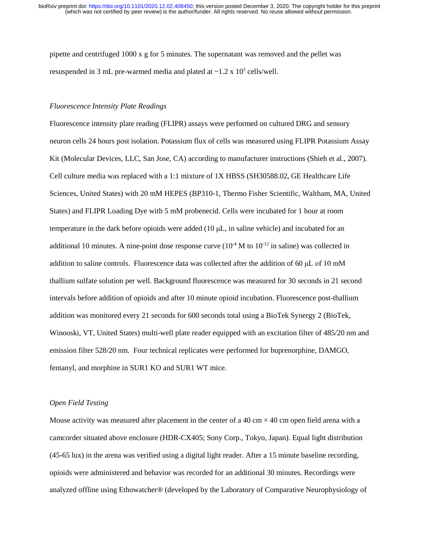pipette and centrifuged  $1000 \times g$  for 5 minutes. The supernatant was removed and the pellet was resuspended in 3 mL pre-warmed media and plated at  $\sim$ 1.2 x 10<sup>5</sup> cells/well.

## *Fluorescence Intensity Plate Readings*

Fluorescence intensity plate reading (FLIPR) assays were performed on cultured DRG and sensory neuron cells 24 hours post isolation. Potassium flux of cells was measured using FLIPR Potassium Assay Kit (Molecular Devices, LLC, San Jose, CA) according to manufacturer instructions (Shieh et al., 2007). Cell culture media was replaced with a 1:1 mixture of 1X HBSS (SH30588.02, GE Healthcare Life Sciences, United States) with 20 mM HEPES (BP310-1, Thermo Fisher Scientific, Waltham, MA, United States) and FLIPR Loading Dye with 5 mM probenecid. Cells were incubated for 1 hour at room temperature in the dark before opioids were added (10 μL, in saline vehicle) and incubated for an additional 10 minutes. A nine-point dose response curve  $(10<sup>4</sup> M$  to  $10<sup>-12</sup>$  in saline) was collected in addition to saline controls. Fluorescence data was collected after the addition of 60 μL of 10 mM thallium sulfate solution per well. Background fluorescence was measured for 30 seconds in 21 second intervals before addition of opioids and after 10 minute opioid incubation. Fluorescence post-thallium addition was monitored every 21 seconds for 600 seconds total using a BioTek Synergy 2 (BioTek, Winooski, VT, United States) multi-well plate reader equipped with an excitation filter of 485/20 nm and emission filter 528/20 nm. Four technical replicates were performed for buprenorphine, DAMGO, fentanyl, and morphine in SUR1 KO and SUR1 WT mice.

## *Open Field Testing*

Mouse activity was measured after placement in the center of a 40 cm  $\times$  40 cm open field arena with a camcorder situated above enclosure (HDR-CX405; Sony Corp., Tokyo, Japan). Equal light distribution (45-65 lux) in the arena was verified using a digital light reader. After a 15 minute baseline recording, opioids were administered and behavior was recorded for an additional 30 minutes. Recordings were analyzed offline using Ethowatcher® (developed by the Laboratory of Comparative Neurophysiology of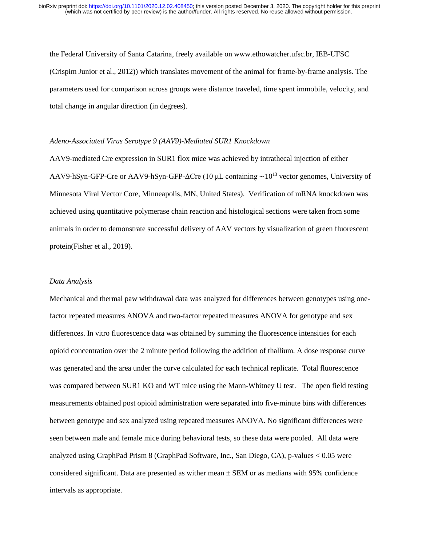the Federal University of Santa Catarina, freely available on www.ethowatcher.ufsc.br, IEB-UFSC (Crispim Junior et al., 2012)) which translates movement of the animal for frame-by-frame analysis. The parameters used for comparison across groups were distance traveled, time spent immobile, velocity, and total change in angular direction (in degrees).

#### *Adeno-Associated Virus Serotype 9 (AAV9)-Mediated SUR1 Knockdown*

AAV9-mediated Cre expression in SUR1 flox mice was achieved by intrathecal injection of either AAV9-hSyn-GFP-Cre or AAV9-hSyn-GFP-ΔCre (10 μL containing ∼1013 vector genomes, University of Minnesota Viral Vector Core, Minneapolis, MN, United States). Verification of mRNA knockdown was achieved using quantitative polymerase chain reaction and histological sections were taken from some animals in order to demonstrate successful delivery of AAV vectors by visualization of green fluorescent protein(Fisher et al., 2019).

#### *Data Analysis*

Mechanical and thermal paw withdrawal data was analyzed for differences between genotypes using onefactor repeated measures ANOVA and two-factor repeated measures ANOVA for genotype and sex differences. In vitro fluorescence data was obtained by summing the fluorescence intensities for each opioid concentration over the 2 minute period following the addition of thallium. A dose response curve was generated and the area under the curve calculated for each technical replicate. Total fluorescence was compared between SUR1 KO and WT mice using the Mann-Whitney U test. The open field testing measurements obtained post opioid administration were separated into five-minute bins with differences between genotype and sex analyzed using repeated measures ANOVA. No significant differences were seen between male and female mice during behavioral tests, so these data were pooled. All data were analyzed using GraphPad Prism 8 (GraphPad Software, Inc., San Diego, CA), p-values < 0.05 were considered significant. Data are presented as wither mean  $\pm$  SEM or as medians with 95% confidence intervals as appropriate.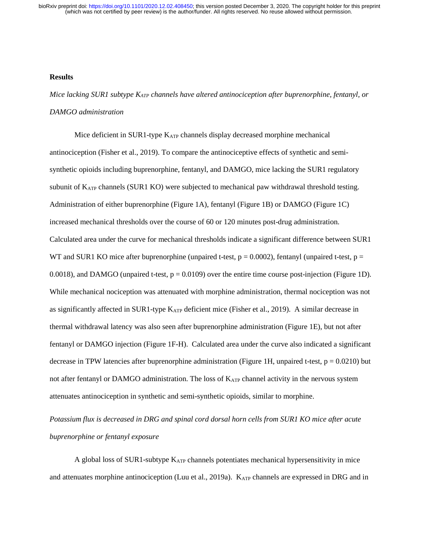## **Results**

*Mice lacking SUR1 subtype KATP channels have altered antinociception after buprenorphine, fentanyl, or DAMGO administration* 

Mice deficient in SUR1-type  $K_{ATP}$  channels display decreased morphine mechanical antinociception (Fisher et al., 2019). To compare the antinociceptive effects of synthetic and semisynthetic opioids including buprenorphine, fentanyl, and DAMGO, mice lacking the SUR1 regulatory subunit of  $K_{ATP}$  channels (SUR1 KO) were subjected to mechanical paw withdrawal threshold testing. Administration of either buprenorphine (Figure 1A), fentanyl (Figure 1B) or DAMGO (Figure 1C) increased mechanical thresholds over the course of 60 or 120 minutes post-drug administration. Calculated area under the curve for mechanical thresholds indicate a significant difference between SUR1 WT and SUR1 KO mice after buprenorphine (unpaired t-test,  $p = 0.0002$ ), fentanyl (unpaired t-test,  $p =$ 0.0018), and DAMGO (unpaired t-test,  $p = 0.0109$ ) over the entire time course post-injection (Figure 1D). While mechanical nociception was attenuated with morphine administration, thermal nociception was not as significantly affected in SUR1-type K<sub>ATP</sub> deficient mice (Fisher et al., 2019). A similar decrease in thermal withdrawal latency was also seen after buprenorphine administration (Figure 1E), but not after fentanyl or DAMGO injection (Figure 1F-H). Calculated area under the curve also indicated a significant decrease in TPW latencies after buprenorphine administration (Figure 1H, unpaired t-test,  $p = 0.0210$ ) but not after fentanyl or DAMGO administration. The loss of  $K_{ATP}$  channel activity in the nervous system attenuates antinociception in synthetic and semi-synthetic opioids, similar to morphine.

*Potassium flux is decreased in DRG and spinal cord dorsal horn cells from SUR1 KO mice after acute buprenorphine or fentanyl exposure*

A global loss of SUR1-subtype  $K_{ATP}$  channels potentiates mechanical hypersensitivity in mice and attenuates morphine antinociception (Luu et al., 2019a). KATP channels are expressed in DRG and in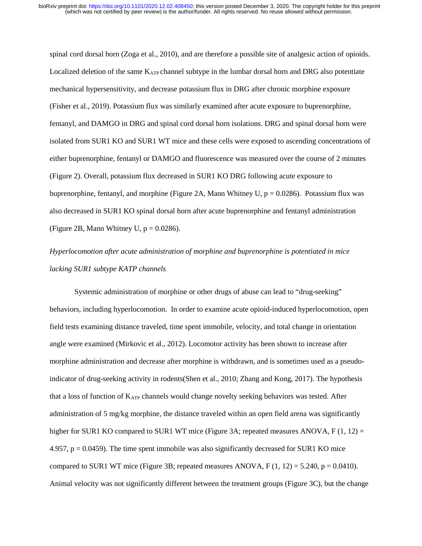spinal cord dorsal horn (Zoga et al., 2010), and are therefore a possible site of analgesic action of opioids. Localized deletion of the same  $K_{ATP}$  channel subtype in the lumbar dorsal horn and DRG also potentiate mechanical hypersensitivity, and decrease potassium flux in DRG after chronic morphine exposure (Fisher et al., 2019). Potassium flux was similarly examined after acute exposure to buprenorphine, fentanyl, and DAMGO in DRG and spinal cord dorsal horn isolations. DRG and spinal dorsal horn were isolated from SUR1 KO and SUR1 WT mice and these cells were exposed to ascending concentrations of either buprenorphine, fentanyl or DAMGO and fluorescence was measured over the course of 2 minutes (Figure 2). Overall, potassium flux decreased in SUR1 KO DRG following acute exposure to buprenorphine, fentanyl, and morphine (Figure 2A, Mann Whitney U,  $p = 0.0286$ ). Potassium flux was also decreased in SUR1 KO spinal dorsal horn after acute buprenorphine and fentanyl administration (Figure 2B, Mann Whitney U,  $p = 0.0286$ ).

# *Hyperlocomotion after acute administration of morphine and buprenorphine is potentiated in mice lacking SUR1 subtype KATP channels*

Systemic administration of morphine or other drugs of abuse can lead to "drug-seeking" behaviors, including hyperlocomotion. In order to examine acute opioid-induced hyperlocomotion, open field tests examining distance traveled, time spent immobile, velocity, and total change in orientation angle were examined (Mirkovic et al., 2012). Locomotor activity has been shown to increase after morphine administration and decrease after morphine is withdrawn, and is sometimes used as a pseudoindicator of drug-seeking activity in rodents(Shen et al., 2010; Zhang and Kong, 2017). The hypothesis that a loss of function of  $K_{ATP}$  channels would change novelty seeking behaviors was tested. After administration of 5 mg/kg morphine, the distance traveled within an open field arena was significantly higher for SUR1 KO compared to SUR1 WT mice (Figure 3A; repeated measures ANOVA, F  $(1, 12)$  = 4.957,  $p = 0.0459$ . The time spent immobile was also significantly decreased for SUR1 KO mice compared to SUR1 WT mice (Figure 3B; repeated measures ANOVA,  $F(1, 12) = 5.240$ ,  $p = 0.0410$ ). Animal velocity was not significantly different between the treatment groups (Figure 3C), but the change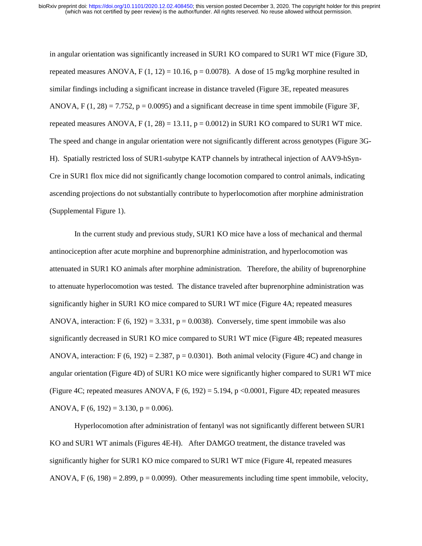in angular orientation was significantly increased in SUR1 KO compared to SUR1 WT mice (Figure 3D, repeated measures ANOVA,  $F(1, 12) = 10.16$ ,  $p = 0.0078$ ). A dose of 15 mg/kg morphine resulted in similar findings including a significant increase in distance traveled (Figure 3E, repeated measures ANOVA,  $F(1, 28) = 7.752$ ,  $p = 0.0095$ ) and a significant decrease in time spent immobile (Figure 3F, repeated measures ANOVA,  $F(1, 28) = 13.11$ ,  $p = 0.0012$ ) in SUR1 KO compared to SUR1 WT mice. The speed and change in angular orientation were not significantly different across genotypes (Figure 3G-H). Spatially restricted loss of SUR1-subytpe KATP channels by intrathecal injection of AAV9-hSyn-Cre in SUR1 flox mice did not significantly change locomotion compared to control animals, indicating ascending projections do not substantially contribute to hyperlocomotion after morphine administration (Supplemental Figure 1).

In the current study and previous study, SUR1 KO mice have a loss of mechanical and thermal antinociception after acute morphine and buprenorphine administration, and hyperlocomotion was attenuated in SUR1 KO animals after morphine administration. Therefore, the ability of buprenorphine to attenuate hyperlocomotion was tested. The distance traveled after buprenorphine administration was significantly higher in SUR1 KO mice compared to SUR1 WT mice (Figure 4A; repeated measures ANOVA, interaction: F  $(6, 192) = 3.331$ , p = 0.0038). Conversely, time spent immobile was also significantly decreased in SUR1 KO mice compared to SUR1 WT mice (Figure 4B; repeated measures ANOVA, interaction: F  $(6, 192) = 2.387$ ,  $p = 0.0301$ ). Both animal velocity (Figure 4C) and change in angular orientation (Figure 4D) of SUR1 KO mice were significantly higher compared to SUR1 WT mice (Figure 4C; repeated measures ANOVA,  $F(6, 192) = 5.194$ ,  $p \le 0.0001$ , Figure 4D; repeated measures ANOVA, F  $(6, 192) = 3.130$ , p = 0.006).

Hyperlocomotion after administration of fentanyl was not significantly different between SUR1 KO and SUR1 WT animals (Figures 4E-H). After DAMGO treatment, the distance traveled was significantly higher for SUR1 KO mice compared to SUR1 WT mice (Figure 4I, repeated measures ANOVA, F  $(6, 198) = 2.899$ ,  $p = 0.0099$ ). Other measurements including time spent immobile, velocity,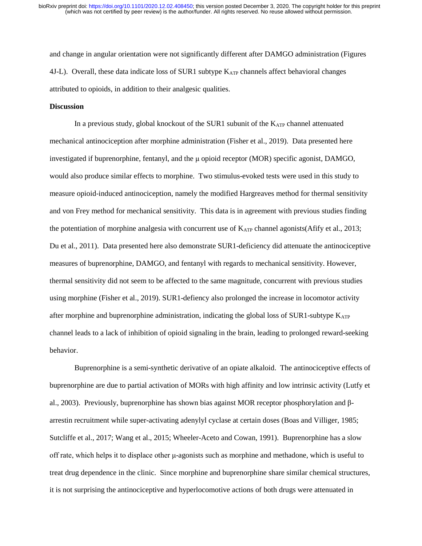and change in angular orientation were not significantly different after DAMGO administration (Figures 4J-L). Overall, these data indicate loss of SUR1 subtype K<sub>ATP</sub> channels affect behavioral changes attributed to opioids, in addition to their analgesic qualities.

# **Discussion**

In a previous study, global knockout of the SUR1 subunit of the  $K_{ATP}$  channel attenuated mechanical antinociception after morphine administration (Fisher et al., 2019). Data presented here investigated if buprenorphine, fentanyl, and the μ opioid receptor (MOR) specific agonist, DAMGO, would also produce similar effects to morphine. Two stimulus-evoked tests were used in this study to measure opioid-induced antinociception, namely the modified Hargreaves method for thermal sensitivity and von Frey method for mechanical sensitivity. This data is in agreement with previous studies finding the potentiation of morphine analgesia with concurrent use of  $K_{ATP}$  channel agonists(Afify et al., 2013; Du et al., 2011). Data presented here also demonstrate SUR1-deficiency did attenuate the antinociceptive measures of buprenorphine, DAMGO, and fentanyl with regards to mechanical sensitivity. However, thermal sensitivity did not seem to be affected to the same magnitude, concurrent with previous studies using morphine (Fisher et al., 2019). SUR1-defiency also prolonged the increase in locomotor activity after morphine and buprenorphine administration, indicating the global loss of  $SUR1$ -subtype  $K_{ATP}$ channel leads to a lack of inhibition of opioid signaling in the brain, leading to prolonged reward-seeking behavior.

Buprenorphine is a semi-synthetic derivative of an opiate alkaloid. The antinociceptive effects of buprenorphine are due to partial activation of MORs with high affinity and low intrinsic activity (Lutfy et al., 2003). Previously, buprenorphine has shown bias against MOR receptor phosphorylation and βarrestin recruitment while super-activating adenylyl cyclase at certain doses (Boas and Villiger, 1985; Sutcliffe et al., 2017; Wang et al., 2015; Wheeler-Aceto and Cowan, 1991). Buprenorphine has a slow off rate, which helps it to displace other μ-agonists such as morphine and methadone, which is useful to treat drug dependence in the clinic. Since morphine and buprenorphine share similar chemical structures, it is not surprising the antinociceptive and hyperlocomotive actions of both drugs were attenuated in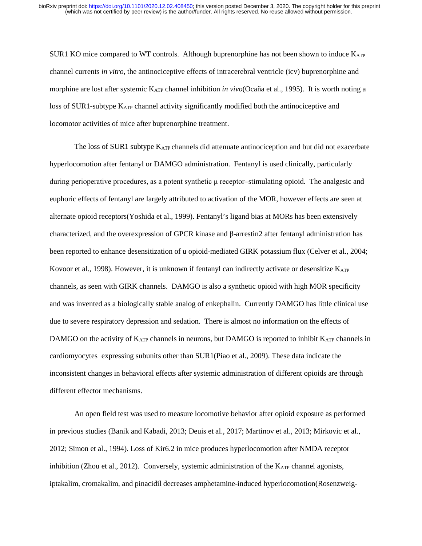SUR1 KO mice compared to WT controls. Although buprenorphine has not been shown to induce  $K_{ATP}$ channel currents *in vitro*, the antinociceptive effects of intracerebral ventricle (icv) buprenorphine and morphine are lost after systemic KATP channel inhibition *in vivo*(Ocaña et al., 1995). It is worth noting a loss of SUR1-subtype KATP channel activity significantly modified both the antinociceptive and locomotor activities of mice after buprenorphine treatment.

The loss of SUR1 subtype  $K_{ATP}$  channels did attenuate antinociception and but did not exacerbate hyperlocomotion after fentanyl or DAMGO administration. Fentanyl is used clinically, particularly during perioperative procedures, as a potent synthetic μ receptor–stimulating opioid. The analgesic and euphoric effects of fentanyl are largely attributed to activation of the MOR, however effects are seen at alternate opioid receptors(Yoshida et al., 1999). Fentanyl's ligand bias at MORs has been extensively characterized, and the overexpression of GPCR kinase and β-arrestin2 after fentanyl administration has been reported to enhance desensitization of u opioid-mediated GIRK potassium flux (Celver et al., 2004; Kovoor et al., 1998). However, it is unknown if fentanyl can indirectly activate or desensitize K<sub>ATP</sub> channels, as seen with GIRK channels. DAMGO is also a synthetic opioid with high MOR specificity and was invented as a biologically stable analog of enkephalin. Currently DAMGO has little clinical use due to severe respiratory depression and sedation. There is almost no information on the effects of DAMGO on the activity of  $K_{ATP}$  channels in neurons, but DAMGO is reported to inhibit  $K_{ATP}$  channels in cardiomyocytes expressing subunits other than SUR1(Piao et al., 2009). These data indicate the inconsistent changes in behavioral effects after systemic administration of different opioids are through different effector mechanisms.

An open field test was used to measure locomotive behavior after opioid exposure as performed in previous studies (Banik and Kabadi, 2013; Deuis et al., 2017; Martinov et al., 2013; Mirkovic et al., 2012; Simon et al., 1994). Loss of Kir6.2 in mice produces hyperlocomotion after NMDA receptor inhibition (Zhou et al., 2012). Conversely, systemic administration of the KATP channel agonists, iptakalim, cromakalim, and pinacidil decreases amphetamine-induced hyperlocomotion(Rosenzweig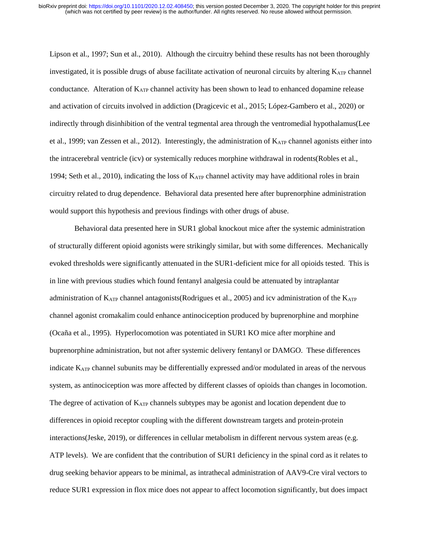Lipson et al., 1997; Sun et al., 2010). Although the circuitry behind these results has not been thoroughly investigated, it is possible drugs of abuse facilitate activation of neuronal circuits by altering  $K_{ATP}$  channel conductance. Alteration of  $K_{ATP}$  channel activity has been shown to lead to enhanced dopamine release and activation of circuits involved in addiction (Dragicevic et al., 2015; López-Gambero et al., 2020) or indirectly through disinhibition of the ventral tegmental area through the ventromedial hypothalamus(Lee et al., 1999; van Zessen et al., 2012). Interestingly, the administration of  $K_{ATP}$  channel agonists either into the intracerebral ventricle (icv) or systemically reduces morphine withdrawal in rodents(Robles et al., 1994; Seth et al., 2010), indicating the loss of  $K_{ATP}$  channel activity may have additional roles in brain circuitry related to drug dependence. Behavioral data presented here after buprenorphine administration would support this hypothesis and previous findings with other drugs of abuse.

Behavioral data presented here in SUR1 global knockout mice after the systemic administration of structurally different opioid agonists were strikingly similar, but with some differences. Mechanically evoked thresholds were significantly attenuated in the SUR1-deficient mice for all opioids tested. This is in line with previous studies which found fentanyl analgesia could be attenuated by intraplantar administration of KATP channel antagonists(Rodrigues et al., 2005) and icv administration of the KATP channel agonist cromakalim could enhance antinociception produced by buprenorphine and morphine (Ocaña et al., 1995). Hyperlocomotion was potentiated in SUR1 KO mice after morphine and buprenorphine administration, but not after systemic delivery fentanyl or DAMGO. These differences indicate KATP channel subunits may be differentially expressed and/or modulated in areas of the nervous system, as antinociception was more affected by different classes of opioids than changes in locomotion. The degree of activation of  $K_{ATP}$  channels subtypes may be agonist and location dependent due to differences in opioid receptor coupling with the different downstream targets and protein-protein interactions(Jeske, 2019), or differences in cellular metabolism in different nervous system areas (e.g. ATP levels). We are confident that the contribution of SUR1 deficiency in the spinal cord as it relates to drug seeking behavior appears to be minimal, as intrathecal administration of AAV9-Cre viral vectors to reduce SUR1 expression in flox mice does not appear to affect locomotion significantly, but does impact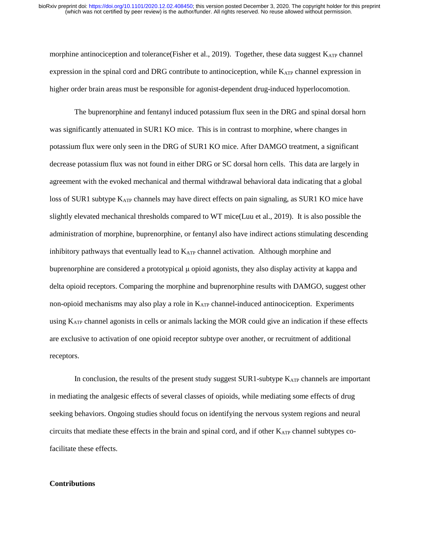morphine antinociception and tolerance(Fisher et al., 2019). Together, these data suggest KATP channel expression in the spinal cord and DRG contribute to antinociception, while KATP channel expression in higher order brain areas must be responsible for agonist-dependent drug-induced hyperlocomotion.

The buprenorphine and fentanyl induced potassium flux seen in the DRG and spinal dorsal horn was significantly attenuated in SUR1 KO mice. This is in contrast to morphine, where changes in potassium flux were only seen in the DRG of SUR1 KO mice. After DAMGO treatment, a significant decrease potassium flux was not found in either DRG or SC dorsal horn cells. This data are largely in agreement with the evoked mechanical and thermal withdrawal behavioral data indicating that a global loss of SUR1 subtype K<sub>ATP</sub> channels may have direct effects on pain signaling, as SUR1 KO mice have slightly elevated mechanical thresholds compared to WT mice(Luu et al., 2019). It is also possible the administration of morphine, buprenorphine, or fentanyl also have indirect actions stimulating descending inhibitory pathways that eventually lead to  $K_{ATP}$  channel activation. Although morphine and buprenorphine are considered a prototypical μ opioid agonists, they also display activity at kappa and delta opioid receptors. Comparing the morphine and buprenorphine results with DAMGO, suggest other non-opioid mechanisms may also play a role in  $K_{ATP}$  channel-induced antinociception. Experiments using K<sub>ATP</sub> channel agonists in cells or animals lacking the MOR could give an indication if these effects are exclusive to activation of one opioid receptor subtype over another, or recruitment of additional receptors.

In conclusion, the results of the present study suggest SUR1-subtype K<sub>ATP</sub> channels are important in mediating the analgesic effects of several classes of opioids, while mediating some effects of drug seeking behaviors. Ongoing studies should focus on identifying the nervous system regions and neural circuits that mediate these effects in the brain and spinal cord, and if other KATP channel subtypes cofacilitate these effects.

# **Contributions**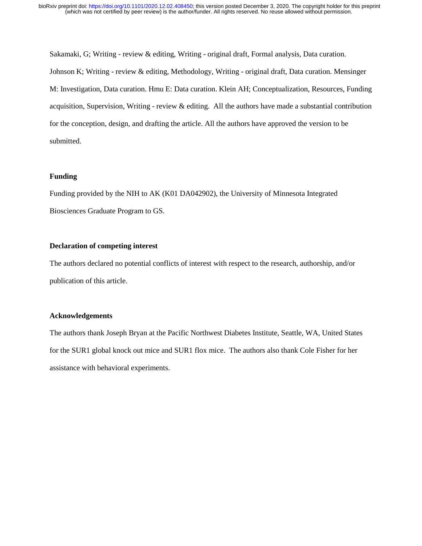Sakamaki, G; Writing - review & editing, Writing - original draft, Formal analysis, Data curation. Johnson K; Writing - review & editing, Methodology, Writing - original draft, Data curation. Mensinger M: Investigation, Data curation. Hmu E: Data curation. Klein AH; Conceptualization, Resources, Funding acquisition, Supervision, Writing - review & editing. All the authors have made a substantial contribution for the conception, design, and drafting the article. All the authors have approved the version to be submitted.

# **Funding**

Funding provided by the NIH to AK (K01 DA042902), the University of Minnesota Integrated Biosciences Graduate Program to GS.

# **Declaration of competing interest**

The authors declared no potential conflicts of interest with respect to the research, authorship, and/or publication of this article.

# **Acknowledgements**

The authors thank Joseph Bryan at the Pacific Northwest Diabetes Institute, Seattle, WA, United States for the SUR1 global knock out mice and SUR1 flox mice. The authors also thank Cole Fisher for her assistance with behavioral experiments.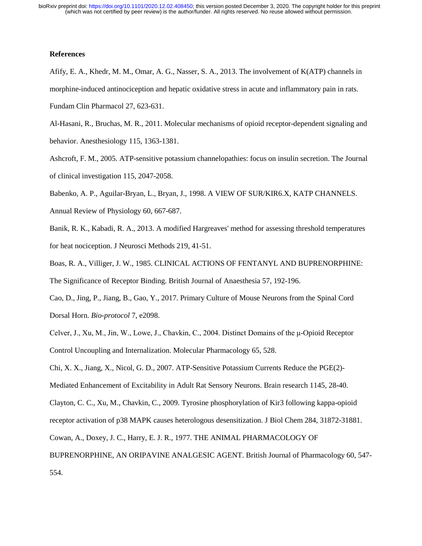#### **References**

- Afify, E. A., Khedr, M. M., Omar, A. G., Nasser, S. A., 2013. The involvement of K(ATP) channels in morphine-induced antinociception and hepatic oxidative stress in acute and inflammatory pain in rats. Fundam Clin Pharmacol 27, 623-631.
- Al-Hasani, R., Bruchas, M. R., 2011. Molecular mechanisms of opioid receptor-dependent signaling and behavior. Anesthesiology 115, 1363-1381.
- Ashcroft, F. M., 2005. ATP-sensitive potassium channelopathies: focus on insulin secretion. The Journal of clinical investigation 115, 2047-2058.
- Babenko, A. P., Aguilar-Bryan, L., Bryan, J., 1998. A VIEW OF SUR/KIR6.X, KATP CHANNELS. Annual Review of Physiology 60, 667-687.
- Banik, R. K., Kabadi, R. A., 2013. A modified Hargreaves' method for assessing threshold temperatures for heat nociception. J Neurosci Methods 219, 41-51.
- Boas, R. A., Villiger, J. W., 1985. CLINICAL ACTIONS OF FENTANYL AND BUPRENORPHINE: The Significance of Receptor Binding. British Journal of Anaesthesia 57, 192-196.
- Cao, D., Jing, P., Jiang, B., Gao, Y., 2017. Primary Culture of Mouse Neurons from the Spinal Cord Dorsal Horn. *Bio-protocol* 7, e2098.
- Celver, J., Xu, M., Jin, W., Lowe, J., Chavkin, C., 2004. Distinct Domains of the μ-Opioid Receptor Control Uncoupling and Internalization. Molecular Pharmacology 65, 528.
- Chi, X. X., Jiang, X., Nicol, G. D., 2007. ATP-Sensitive Potassium Currents Reduce the PGE(2)-
- Mediated Enhancement of Excitability in Adult Rat Sensory Neurons. Brain research 1145, 28-40.
- Clayton, C. C., Xu, M., Chavkin, C., 2009. Tyrosine phosphorylation of Kir3 following kappa-opioid
- receptor activation of p38 MAPK causes heterologous desensitization. J Biol Chem 284, 31872-31881.
- Cowan, A., Doxey, J. C., Harry, E. J. R., 1977. THE ANIMAL PHARMACOLOGY OF
- BUPRENORPHINE, AN ORIPAVINE ANALGESIC AGENT. British Journal of Pharmacology 60, 547- 554.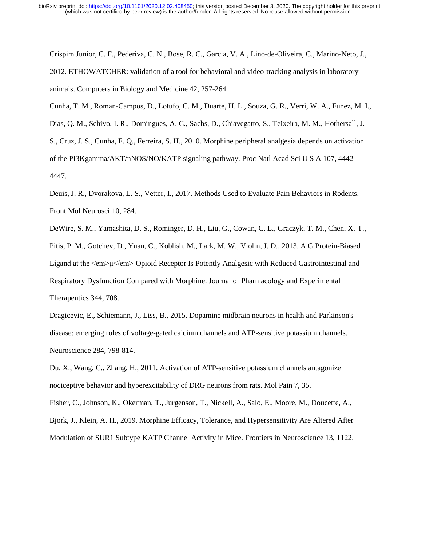Crispim Junior, C. F., Pederiva, C. N., Bose, R. C., Garcia, V. A., Lino-de-Oliveira, C., Marino-Neto, J., 2012. ETHOWATCHER: validation of a tool for behavioral and video-tracking analysis in laboratory animals. Computers in Biology and Medicine 42, 257-264.

Cunha, T. M., Roman-Campos, D., Lotufo, C. M., Duarte, H. L., Souza, G. R., Verri, W. A., Funez, M. I., Dias, Q. M., Schivo, I. R., Domingues, A. C., Sachs, D., Chiavegatto, S., Teixeira, M. M., Hothersall, J. S., Cruz, J. S., Cunha, F. Q., Ferreira, S. H., 2010. Morphine peripheral analgesia depends on activation of the PI3Kgamma/AKT/nNOS/NO/KATP signaling pathway. Proc Natl Acad Sci U S A 107, 4442- 4447.

Deuis, J. R., Dvorakova, L. S., Vetter, I., 2017. Methods Used to Evaluate Pain Behaviors in Rodents. Front Mol Neurosci 10, 284.

DeWire, S. M., Yamashita, D. S., Rominger, D. H., Liu, G., Cowan, C. L., Graczyk, T. M., Chen, X.-T., Pitis, P. M., Gotchev, D., Yuan, C., Koblish, M., Lark, M. W., Violin, J. D., 2013. A G Protein-Biased Ligand at the <em>μ</em>-Opioid Receptor Is Potently Analgesic with Reduced Gastrointestinal and Respiratory Dysfunction Compared with Morphine. Journal of Pharmacology and Experimental Therapeutics 344, 708.

Dragicevic, E., Schiemann, J., Liss, B., 2015. Dopamine midbrain neurons in health and Parkinson's disease: emerging roles of voltage-gated calcium channels and ATP-sensitive potassium channels. Neuroscience 284, 798-814.

Du, X., Wang, C., Zhang, H., 2011. Activation of ATP-sensitive potassium channels antagonize nociceptive behavior and hyperexcitability of DRG neurons from rats. Mol Pain 7, 35.

Fisher, C., Johnson, K., Okerman, T., Jurgenson, T., Nickell, A., Salo, E., Moore, M., Doucette, A.,

Bjork, J., Klein, A. H., 2019. Morphine Efficacy, Tolerance, and Hypersensitivity Are Altered After Modulation of SUR1 Subtype KATP Channel Activity in Mice. Frontiers in Neuroscience 13, 1122.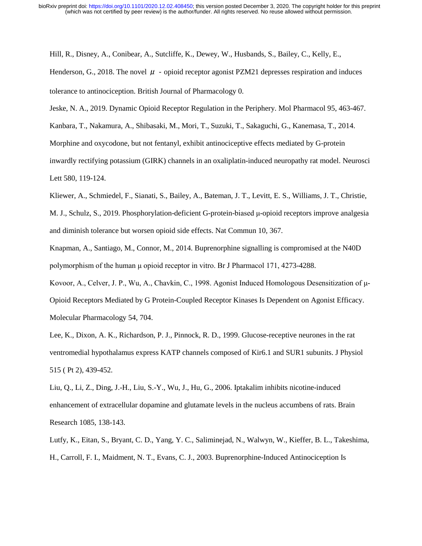Hill, R., Disney, A., Conibear, A., Sutcliffe, K., Dewey, W., Husbands, S., Bailey, C., Kelly, E.,

Henderson, G., 2018. The novel  $\mu$  - opioid receptor agonist PZM21 depresses respiration and induces tolerance to antinociception. British Journal of Pharmacology 0.

Jeske, N. A., 2019. Dynamic Opioid Receptor Regulation in the Periphery. Mol Pharmacol 95, 463-467. Kanbara, T., Nakamura, A., Shibasaki, M., Mori, T., Suzuki, T., Sakaguchi, G., Kanemasa, T., 2014. Morphine and oxycodone, but not fentanyl, exhibit antinociceptive effects mediated by G-protein inwardly rectifying potassium (GIRK) channels in an oxaliplatin-induced neuropathy rat model. Neurosci Lett 580, 119-124.

Kliewer, A., Schmiedel, F., Sianati, S., Bailey, A., Bateman, J. T., Levitt, E. S., Williams, J. T., Christie,

M. J., Schulz, S., 2019. Phosphorylation-deficient G-protein-biased μ-opioid receptors improve analgesia and diminish tolerance but worsen opioid side effects. Nat Commun 10, 367.

Knapman, A., Santiago, M., Connor, M., 2014. Buprenorphine signalling is compromised at the N40D polymorphism of the human μ opioid receptor in vitro. Br J Pharmacol 171, 4273-4288.

Kovoor, A., Celver, J. P., Wu, A., Chavkin, C., 1998. Agonist Induced Homologous Desensitization of μ-Opioid Receptors Mediated by G Protein-Coupled Receptor Kinases Is Dependent on Agonist Efficacy. Molecular Pharmacology 54, 704.

Lee, K., Dixon, A. K., Richardson, P. J., Pinnock, R. D., 1999. Glucose-receptive neurones in the rat ventromedial hypothalamus express KATP channels composed of Kir6.1 and SUR1 subunits. J Physiol 515 ( Pt 2), 439-452.

Liu, Q., Li, Z., Ding, J.-H., Liu, S.-Y., Wu, J., Hu, G., 2006. Iptakalim inhibits nicotine-induced enhancement of extracellular dopamine and glutamate levels in the nucleus accumbens of rats. Brain Research 1085, 138-143.

Lutfy, K., Eitan, S., Bryant, C. D., Yang, Y. C., Saliminejad, N., Walwyn, W., Kieffer, B. L., Takeshima, H., Carroll, F. I., Maidment, N. T., Evans, C. J., 2003. Buprenorphine-Induced Antinociception Is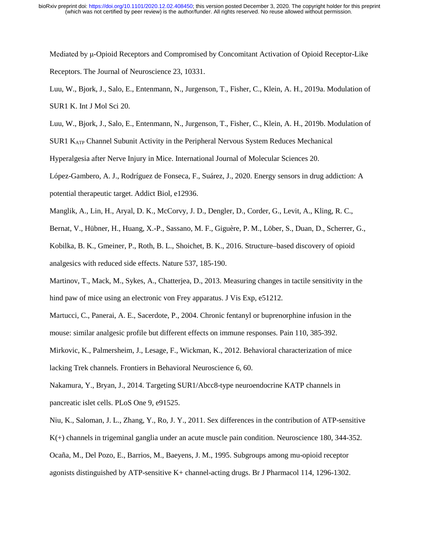Mediated by μ-Opioid Receptors and Compromised by Concomitant Activation of Opioid Receptor-Like Receptors. The Journal of Neuroscience 23, 10331.

Luu, W., Bjork, J., Salo, E., Entenmann, N., Jurgenson, T., Fisher, C., Klein, A. H., 2019b. Modulation of

SUR1 KATP Channel Subunit Activity in the Peripheral Nervous System Reduces Mechanical

Hyperalgesia after Nerve Injury in Mice. International Journal of Molecular Sciences 20.

López-Gambero, A. J., Rodríguez de Fonseca, F., Suárez, J., 2020. Energy sensors in drug addiction: A potential therapeutic target. Addict Biol, e12936.

Manglik, A., Lin, H., Aryal, D. K., McCorvy, J. D., Dengler, D., Corder, G., Levit, A., Kling, R. C.,

Bernat, V., Hübner, H., Huang, X.-P., Sassano, M. F., Giguère, P. M., Löber, S., Duan, D., Scherrer, G.,

Kobilka, B. K., Gmeiner, P., Roth, B. L., Shoichet, B. K., 2016. Structure–based discovery of opioid analgesics with reduced side effects. Nature 537, 185-190.

Martinov, T., Mack, M., Sykes, A., Chatterjea, D., 2013. Measuring changes in tactile sensitivity in the hind paw of mice using an electronic von Frey apparatus. J Vis Exp, e51212.

Martucci, C., Panerai, A. E., Sacerdote, P., 2004. Chronic fentanyl or buprenorphine infusion in the mouse: similar analgesic profile but different effects on immune responses. Pain 110, 385-392.

Mirkovic, K., Palmersheim, J., Lesage, F., Wickman, K., 2012. Behavioral characterization of mice lacking Trek channels. Frontiers in Behavioral Neuroscience 6, 60.

Nakamura, Y., Bryan, J., 2014. Targeting SUR1/Abcc8-type neuroendocrine KATP channels in pancreatic islet cells. PLoS One 9, e91525.

Niu, K., Saloman, J. L., Zhang, Y., Ro, J. Y., 2011. Sex differences in the contribution of ATP-sensitive K(+) channels in trigeminal ganglia under an acute muscle pain condition. Neuroscience 180, 344-352. Ocaña, M., Del Pozo, E., Barrios, M., Baeyens, J. M., 1995. Subgroups among mu-opioid receptor agonists distinguished by ATP-sensitive K+ channel-acting drugs. Br J Pharmacol 114, 1296-1302.

Luu, W., Bjork, J., Salo, E., Entenmann, N., Jurgenson, T., Fisher, C., Klein, A. H., 2019a. Modulation of SUR1 K. Int J Mol Sci 20.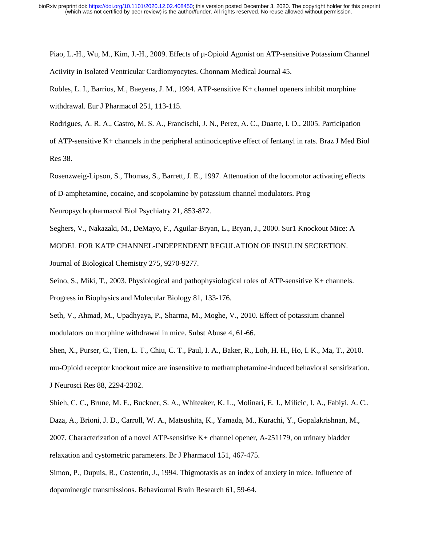Piao, L.-H., Wu, M., Kim, J.-H., 2009. Effects of µ-Opioid Agonist on ATP-sensitive Potassium Channel Activity in Isolated Ventricular Cardiomyocytes. Chonnam Medical Journal 45.

Robles, L. I., Barrios, M., Baeyens, J. M., 1994. ATP-sensitive K+ channel openers inhibit morphine withdrawal. Eur J Pharmacol 251, 113-115.

Rodrigues, A. R. A., Castro, M. S. A., Francischi, J. N., Perez, A. C., Duarte, I. D., 2005. Participation of ATP-sensitive K+ channels in the peripheral antinociceptive effect of fentanyl in rats. Braz J Med Biol Res 38.

Rosenzweig-Lipson, S., Thomas, S., Barrett, J. E., 1997. Attenuation of the locomotor activating effects of D-amphetamine, cocaine, and scopolamine by potassium channel modulators. Prog

Neuropsychopharmacol Biol Psychiatry 21, 853-872.

Seghers, V., Nakazaki, M., DeMayo, F., Aguilar-Bryan, L., Bryan, J., 2000. Sur1 Knockout Mice: A

MODEL FOR KATP CHANNEL-INDEPENDENT REGULATION OF INSULIN SECRETION.

Journal of Biological Chemistry 275, 9270-9277.

Seino, S., Miki, T., 2003. Physiological and pathophysiological roles of ATP-sensitive K+ channels. Progress in Biophysics and Molecular Biology 81, 133-176.

Seth, V., Ahmad, M., Upadhyaya, P., Sharma, M., Moghe, V., 2010. Effect of potassium channel modulators on morphine withdrawal in mice. Subst Abuse 4, 61-66.

Shen, X., Purser, C., Tien, L. T., Chiu, C. T., Paul, I. A., Baker, R., Loh, H. H., Ho, I. K., Ma, T., 2010. mu-Opioid receptor knockout mice are insensitive to methamphetamine-induced behavioral sensitization. J Neurosci Res 88, 2294-2302.

Shieh, C. C., Brune, M. E., Buckner, S. A., Whiteaker, K. L., Molinari, E. J., Milicic, I. A., Fabiyi, A. C., Daza, A., Brioni, J. D., Carroll, W. A., Matsushita, K., Yamada, M., Kurachi, Y., Gopalakrishnan, M., 2007. Characterization of a novel ATP-sensitive K+ channel opener, A-251179, on urinary bladder relaxation and cystometric parameters. Br J Pharmacol 151, 467-475.

Simon, P., Dupuis, R., Costentin, J., 1994. Thigmotaxis as an index of anxiety in mice. Influence of dopaminergic transmissions. Behavioural Brain Research 61, 59-64.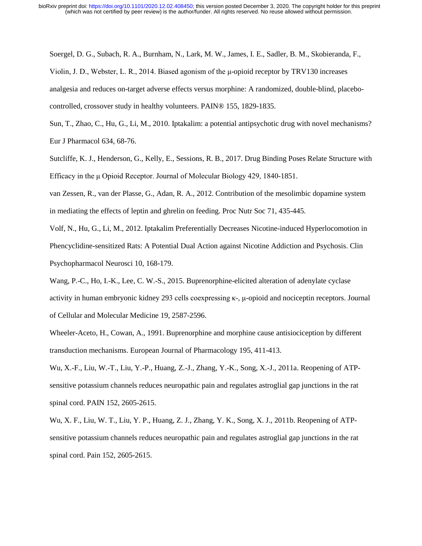Soergel, D. G., Subach, R. A., Burnham, N., Lark, M. W., James, I. E., Sadler, B. M., Skobieranda, F., Violin, J. D., Webster, L. R., 2014. Biased agonism of the μ-opioid receptor by TRV130 increases analgesia and reduces on-target adverse effects versus morphine: A randomized, double-blind, placebocontrolled, crossover study in healthy volunteers. PAIN® 155, 1829-1835.

Sun, T., Zhao, C., Hu, G., Li, M., 2010. Iptakalim: a potential antipsychotic drug with novel mechanisms? Eur J Pharmacol 634, 68-76.

Sutcliffe, K. J., Henderson, G., Kelly, E., Sessions, R. B., 2017. Drug Binding Poses Relate Structure with Efficacy in the μ Opioid Receptor. Journal of Molecular Biology 429, 1840-1851.

van Zessen, R., van der Plasse, G., Adan, R. A., 2012. Contribution of the mesolimbic dopamine system in mediating the effects of leptin and ghrelin on feeding. Proc Nutr Soc 71, 435-445.

Volf, N., Hu, G., Li, M., 2012. Iptakalim Preferentially Decreases Nicotine-induced Hyperlocomotion in Phencyclidine-sensitized Rats: A Potential Dual Action against Nicotine Addiction and Psychosis. Clin Psychopharmacol Neurosci 10, 168-179.

Wang, P.-C., Ho, I.-K., Lee, C. W.-S., 2015. Buprenorphine-elicited alteration of adenylate cyclase activity in human embryonic kidney 293 cells coexpressing κ-, μ-opioid and nociceptin receptors. Journal of Cellular and Molecular Medicine 19, 2587-2596.

Wheeler-Aceto, H., Cowan, A., 1991. Buprenorphine and morphine cause antisiociception by different transduction mechanisms. European Journal of Pharmacology 195, 411-413.

Wu, X.-F., Liu, W.-T., Liu, Y.-P., Huang, Z.-J., Zhang, Y.-K., Song, X.-J., 2011a. Reopening of ATPsensitive potassium channels reduces neuropathic pain and regulates astroglial gap junctions in the rat spinal cord. PAIN 152, 2605-2615.

Wu, X. F., Liu, W. T., Liu, Y. P., Huang, Z. J., Zhang, Y. K., Song, X. J., 2011b. Reopening of ATPsensitive potassium channels reduces neuropathic pain and regulates astroglial gap junctions in the rat spinal cord. Pain 152, 2605-2615.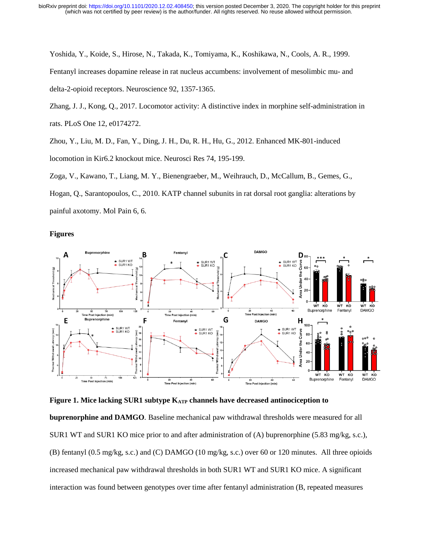Yoshida, Y., Koide, S., Hirose, N., Takada, K., Tomiyama, K., Koshikawa, N., Cools, A. R., 1999.

Fentanyl increases dopamine release in rat nucleus accumbens: involvement of mesolimbic mu- and delta-2-opioid receptors. Neuroscience 92, 1357-1365.

Zhang, J. J., Kong, Q., 2017. Locomotor activity: A distinctive index in morphine self-administration in rats. PLoS One 12, e0174272.

Zhou, Y., Liu, M. D., Fan, Y., Ding, J. H., Du, R. H., Hu, G., 2012. Enhanced MK-801-induced locomotion in Kir6.2 knockout mice. Neurosci Res 74, 195-199.

Zoga, V., Kawano, T., Liang, M. Y., Bienengraeber, M., Weihrauch, D., McCallum, B., Gemes, G.,

Hogan, Q., Sarantopoulos, C., 2010. KATP channel subunits in rat dorsal root ganglia: alterations by

**Figures**

painful axotomy. Mol Pain 6, 6.



**Figure 1. Mice lacking SUR1 subtype K<sub>ATP</sub> channels have decreased antinociception to** 

**buprenorphine and DAMGO***.* Baseline mechanical paw withdrawal thresholds were measured for all SUR1 WT and SUR1 KO mice prior to and after administration of (A) buprenorphine (5.83 mg/kg, s.c.), (B) fentanyl (0.5 mg/kg, s.c.) and (C) DAMGO (10 mg/kg, s.c.) over 60 or 120 minutes. All three opioids increased mechanical paw withdrawal thresholds in both SUR1 WT and SUR1 KO mice. A significant interaction was found between genotypes over time after fentanyl administration (B, repeated measures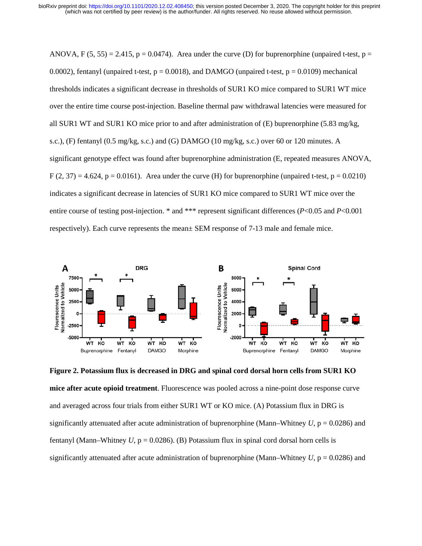ANOVA, F (5, 55) = 2.415, p = 0.0474). Area under the curve (D) for buprenorphine (unpaired t-test, p = 0.0002), fentanyl (unpaired t-test,  $p = 0.0018$ ), and DAMGO (unpaired t-test,  $p = 0.0109$ ) mechanical thresholds indicates a significant decrease in thresholds of SUR1 KO mice compared to SUR1 WT mice over the entire time course post-injection. Baseline thermal paw withdrawal latencies were measured for all SUR1 WT and SUR1 KO mice prior to and after administration of (E) buprenorphine (5.83 mg/kg, s.c.), (F) fentanyl (0.5 mg/kg, s.c.) and (G) DAMGO (10 mg/kg, s.c.) over 60 or 120 minutes. A significant genotype effect was found after buprenorphine administration (E, repeated measures ANOVA,  $F(2, 37) = 4.624$ ,  $p = 0.0161$ . Area under the curve (H) for buprenorphine (unpaired t-test,  $p = 0.0210$ ) indicates a significant decrease in latencies of SUR1 KO mice compared to SUR1 WT mice over the entire course of testing post-injection. \* and \*\*\* represent significant differences (*P*<0.05 and *P*<0.001 respectively). Each curve represents the mean± SEM response of 7-13 male and female mice.



**Figure 2. Potassium flux is decreased in DRG and spinal cord dorsal horn cells from SUR1 KO mice after acute opioid treatment**. Fluorescence was pooled across a nine-point dose response curve and averaged across four trials from either SUR1 WT or KO mice. (A) Potassium flux in DRG is significantly attenuated after acute administration of buprenorphine (Mann–Whitney  $U$ ,  $p = 0.0286$ ) and fentanyl (Mann–Whitney  $U$ ,  $p = 0.0286$ ). (B) Potassium flux in spinal cord dorsal horn cells is significantly attenuated after acute administration of buprenorphine (Mann–Whitney  $U$ ,  $p = 0.0286$ ) and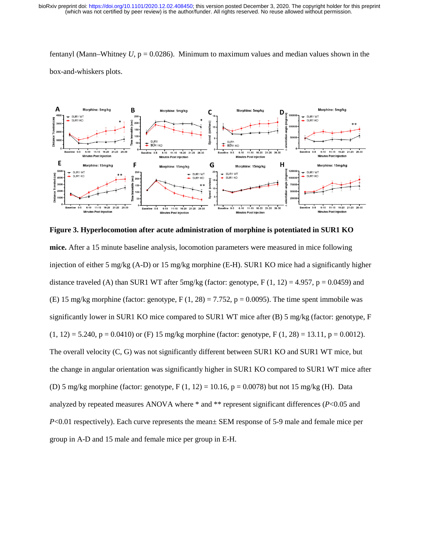fentanyl (Mann–Whitney  $U$ ,  $p = 0.0286$ ). Minimum to maximum values and median values shown in the box-and-whiskers plots.



**Figure 3. Hyperlocomotion after acute administration of morphine is potentiated in SUR1 KO mice.** After a 15 minute baseline analysis, locomotion parameters were measured in mice following injection of either 5 mg/kg (A-D) or 15 mg/kg morphine (E-H). SUR1 KO mice had a significantly higher distance traveled (A) than SUR1 WT after 5mg/kg (factor: genotype, F  $(1, 12) = 4.957$ , p = 0.0459) and (E) 15 mg/kg morphine (factor: genotype, F  $(1, 28) = 7.752$ , p = 0.0095). The time spent immobile was significantly lower in SUR1 KO mice compared to SUR1 WT mice after (B) 5 mg/kg (factor: genotype, F  $(1, 12) = 5.240$ ,  $p = 0.0410$ ) or (F) 15 mg/kg morphine (factor: genotype, F (1, 28) = 13.11, p = 0.0012). The overall velocity (C, G) was not significantly different between SUR1 KO and SUR1 WT mice, but the change in angular orientation was significantly higher in SUR1 KO compared to SUR1 WT mice after (D) 5 mg/kg morphine (factor: genotype,  $F(1, 12) = 10.16$ ,  $p = 0.0078$ ) but not 15 mg/kg (H). Data analyzed by repeated measures ANOVA where \* and \*\* represent significant differences (*P*<0.05 and *P*<0.01 respectively). Each curve represents the mean  $\pm$  SEM response of 5-9 male and female mice per group in A-D and 15 male and female mice per group in E-H.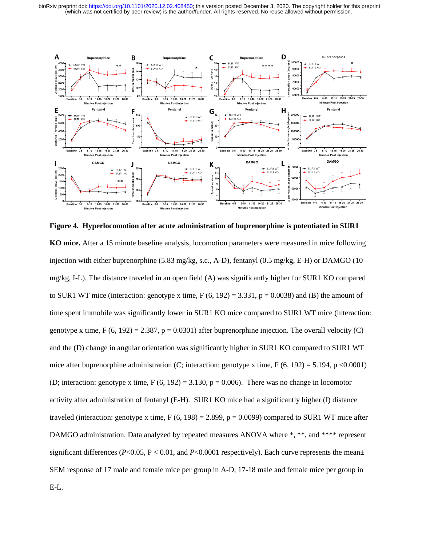

**Figure 4. Hyperlocomotion after acute administration of buprenorphine is potentiated in SUR1 KO mice.** After a 15 minute baseline analysis, locomotion parameters were measured in mice following injection with either buprenorphine (5.83 mg/kg, s.c., A-D), fentanyl (0.5 mg/kg, E-H) or DAMGO (10 mg/kg, I-L). The distance traveled in an open field (A) was significantly higher for SUR1 KO compared to SUR1 WT mice (interaction: genotype x time,  $F (6, 192) = 3.331$ ,  $p = 0.0038$ ) and (B) the amount of time spent immobile was significantly lower in SUR1 KO mice compared to SUR1 WT mice (interaction: genotype x time,  $F(6, 192) = 2.387$ ,  $p = 0.0301$ ) after buprenorphine injection. The overall velocity (C) and the (D) change in angular orientation was significantly higher in SUR1 KO compared to SUR1 WT mice after buprenorphine administration (C; interaction: genotype x time, F  $(6, 192) = 5.194$ , p <0.0001) (D; interaction: genotype x time,  $F(6, 192) = 3.130$ ,  $p = 0.006$ ). There was no change in locomotor activity after administration of fentanyl (E-H). SUR1 KO mice had a significantly higher (I) distance traveled (interaction: genotype x time,  $F (6, 198) = 2.899$ ,  $p = 0.0099$ ) compared to SUR1 WT mice after DAMGO administration. Data analyzed by repeated measures ANOVA where  $\ast$ ,  $\ast\ast$ , and  $\ast\ast\ast\ast\ast$  represent significant differences ( $P<0.05$ ,  $P<0.01$ , and  $P<0.0001$  respectively). Each curve represents the mean $\pm$ SEM response of 17 male and female mice per group in A-D, 17-18 male and female mice per group in E-L.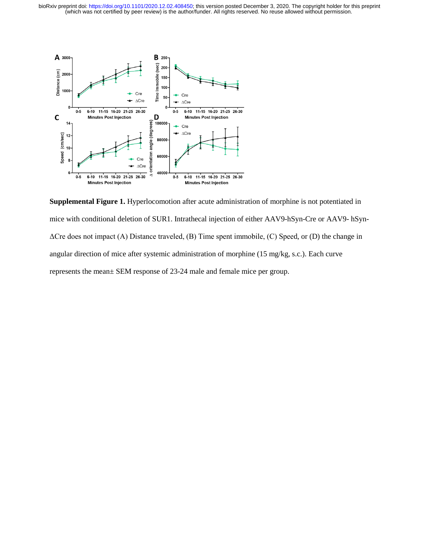

**Supplemental Figure 1.** Hyperlocomotion after acute administration of morphine is not potentiated in mice with conditional deletion of SUR1. Intrathecal injection of either AAV9-hSyn-Cre or AAV9- hSyn-ΔCre does not impact (A) Distance traveled, (B) Time spent immobile, (C) Speed, or (D) the change in angular direction of mice after systemic administration of morphine (15 mg/kg, s.c.). Each curve represents the mean± SEM response of 23-24 male and female mice per group.